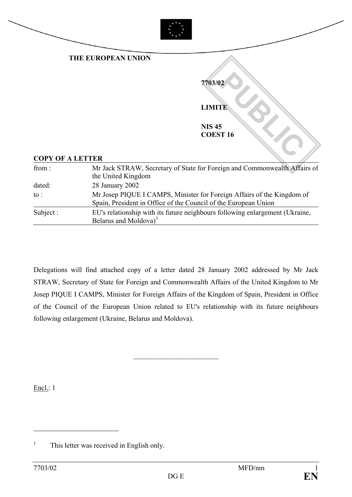

|                         | THE EUROPEAN UNION |                                                                           |
|-------------------------|--------------------|---------------------------------------------------------------------------|
|                         |                    | 7703/02                                                                   |
|                         |                    | <b>LIMITE</b>                                                             |
|                         |                    | <b>NIS45</b><br><b>COEST 16</b>                                           |
| <b>COPY OF A LETTER</b> |                    |                                                                           |
| from:                   | the United Kingdom | Mr Jack STRAW, Secretary of State for Foreign and Commonwealth Affairs of |
| dated:                  | 28 January 2002    |                                                                           |

| to :      | Mr Josep PIQUE I CAMPS, Minister for Foreign Affairs of the Kingdom of<br>Spain, President in Office of the Council of the European Union |
|-----------|-------------------------------------------------------------------------------------------------------------------------------------------|
| Subject : | EU's relationship with its future neighbours following enlargement (Ukraine,<br>Belarus and Moldova) <sup>1</sup>                         |

Delegations will find attached copy of a letter dated 28 January 2002 addressed by Mr Jack STRAW, Secretary of State for Foreign and Commonwealth Affairs of the United Kingdom to Mr Josep PIQUE I CAMPS, Minister for Foreign Affairs of the Kingdom of Spain, President in Office of the Council of the European Union related to EU's relationship with its future neighbours following enlargement (Ukraine, Belarus and Moldova).

 $\overline{\phantom{a}}$  , which is a set of the set of the set of the set of the set of the set of the set of the set of the set of the set of the set of the set of the set of the set of the set of the set of the set of the set of th

Encl.: 1

 $\overline{a}$ 

<span id="page-0-0"></span> $1$  This letter was received in English only.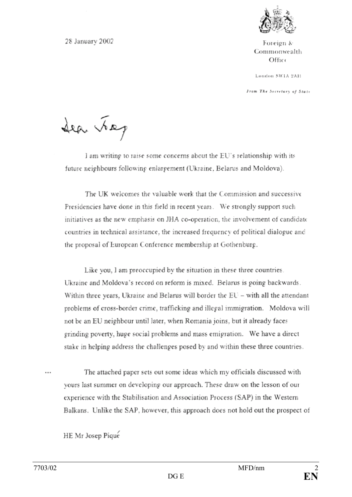

Foreign & Commonwealth Office

London SWIA 2AH

From The Secretary of State

28 January 2002

Sea Jag

I am writing to raise some concerns about the EU's relationship with its future neighbours following enlargement (Ukraine, Belarus and Moldova).

The UK welcomes the valuable work that the Commission and successive Presidencies have done in this field in recent years. We strongly support such initiatives as the new emphasis on JHA co-operation, the involvement of candidate countries in technical assistance, the increased frequency of political dialogue and the proposal of European Conference membership at Gothenburg.

Like you, I am preoccupied by the situation in these three countries. Ukraine and Moldova's record on reform is mixed. Belarus is going backwards. Within three years, Ukraine and Belarus will border the EU - with all the attendant problems of cross-border crime, trafficking and illegal immigration. Moldova will not be an EU neighbour until later, when Romania joins, but it already faces grinding poverty, huge social problems and mass emigration. We have a direct stake in helping address the challenges posed by and within these three countries.

The attached paper sets out some ideas which my officials discussed with  $\cdots$ yours last summer on developing our approach. These draw on the lesson of our experience with the Stabilisation and Association Process (SAP) in the Western Balkans. Unlike the SAP, however, this approach does not hold out the prospect of

HE Mr Josep Pique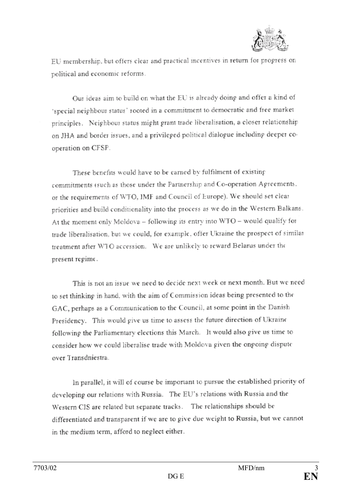

EU membership, but offers clear and practical incentives in return for progress on political and economic reforms.

Our ideas aim to build on what the EU is already doing and offer a kind of 'special neighbour status' rooted in a commitment to democratic and free market principles. Neighbour status might grant trade liberalisation, a closer relationship on JHA and border issues, and a privileged political dialogue including deeper cooperation on CFSP.

These benefits would have to be earned by fulfilment of existing commitments (such as those under the Partnership and Co-operation Agreements. or the requirements of WTO, IMF and Council of Europe). We should set clear priorities and build conditionality into the process as we do in the Western Balkans. At the moment only Moldova - following its entry into WTO - would qualify for trade liberalisation, but we could, for example, offer Ukraine the prospect of similar treatment after WTO accession. We are unlikely to reward Belarus under the present regime.

This is not an issue we need to decide next week or next month. But we need to set thinking in hand, with the aim of Commission ideas being presented to the GAC, perhaps as a Communication to the Council, at some point in the Danish Presidency. This would give us time to assess the future direction of Ukraine following the Parliamentary elections this March. It would also give us time to consider how we could liberalise trade with Moldova given the ongoing dispute over Transdniestra.

In parallel, it will of course be important to pursue the established priority of developing our relations with Russia. The EU's relations with Russia and the Western CIS are related but separate tracks. The relationships should be differentiated and transparent if we are to give due weight to Russia, but we cannot in the medium term, afford to neglect either.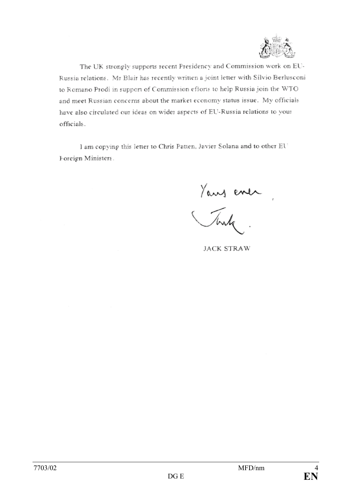

The UK strongly supports recent Presidency and Commission work on EU-Russia relations. Mr Blair has recently written a joint letter with Silvio Berlusconi to Romano Prodi in support of Commission efforts to help Russia join the WTO and meet Russian concerns about the market economy status issue. My officials have also circulated our ideas on wider aspects of EU-Russia relations to your officials.

I am copying this letter to Chris Patten, Javier Solana and to other EU Foreign Ministers.

Yours entre

**JACK STRAW**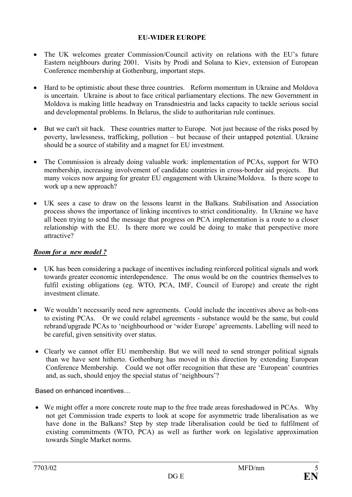## **EU-WIDER EUROPE**

- The UK welcomes greater Commission/Council activity on relations with the EU's future Eastern neighbours during 2001. Visits by Prodi and Solana to Kiev, extension of European Conference membership at Gothenburg, important steps.
- Hard to be optimistic about these three countries. Reform momentum in Ukraine and Moldova is uncertain. Ukraine is about to face critical parliamentary elections. The new Government in Moldova is making little headway on Transdniestria and lacks capacity to tackle serious social and developmental problems. In Belarus, the slide to authoritarian rule continues.
- But we can't sit back. These countries matter to Europe. Not just because of the risks posed by poverty, lawlessness, trafficking, pollution – but because of their untapped potential. Ukraine should be a source of stability and a magnet for EU investment.
- The Commission is already doing valuable work: implementation of PCAs, support for WTO membership, increasing involvement of candidate countries in cross-border aid projects. But many voices now arguing for greater EU engagement with Ukraine/Moldova. Is there scope to work up a new approach?
- UK sees a case to draw on the lessons learnt in the Balkans. Stabilisation and Association process shows the importance of linking incentives to strict conditionality. In Ukraine we have all been trying to send the message that progress on PCA implementation is a route to a closer relationship with the EU. Is there more we could be doing to make that perspective more attractive?

## *Room for a new model ?*

- UK has been considering a package of incentives including reinforced political signals and work towards greater economic interdependence. The onus would be on the countries themselves to fulfil existing obligations (eg. WTO, PCA, IMF, Council of Europe) and create the right investment climate.
- We wouldn't necessarily need new agreements. Could include the incentives above as bolt-ons to existing PCAs. Or we could relabel agreements - substance would be the same, but could rebrand/upgrade PCAs to 'neighbourhood or 'wider Europe' agreements. Labelling will need to be careful, given sensitivity over status.
- Clearly we cannot offer EU membership. But we will need to send stronger political signals than we have sent hitherto. Gothenburg has moved in this direction by extending European Conference Membership. Could we not offer recognition that these are 'European' countries and, as such, should enjoy the special status of 'neighbours'?

Based on enhanced incentives…

• We might offer a more concrete route map to the free trade areas foreshadowed in PCAs. Why not get Commission trade experts to look at scope for asymmetric trade liberalisation as we have done in the Balkans? Step by step trade liberalisation could be tied to fulfilment of existing commitments (WTO, PCA) as well as further work on legislative approximation towards Single Market norms.